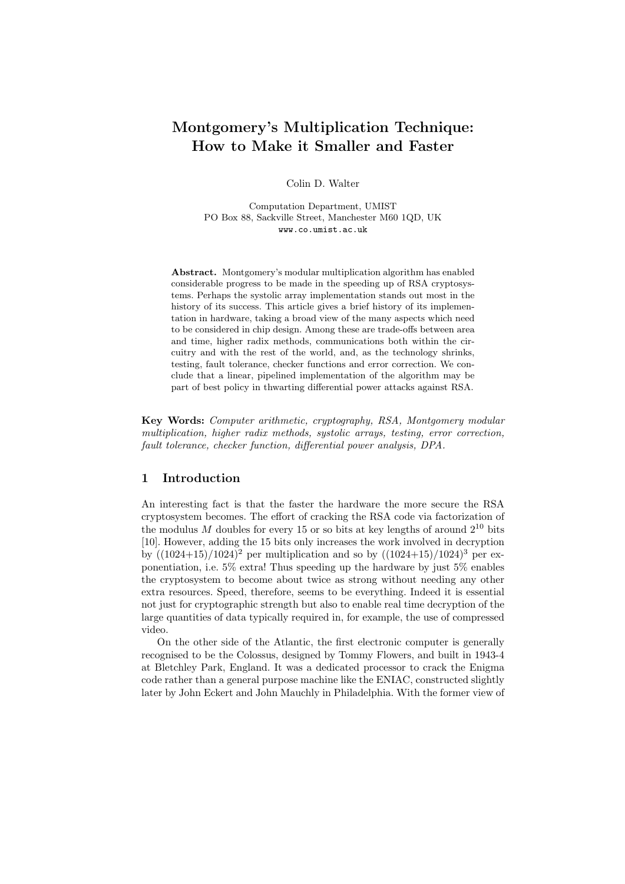# Montgomery's Multiplication Technique: How to Make it Smaller and Faster

Colin D. Walter

Computation Department, UMIST PO Box 88, Sackville Street, Manchester M60 1QD, UK www.co.umist.ac.uk

Abstract. Montgomery's modular multiplication algorithm has enabled considerable progress to be made in the speeding up of RSA cryptosystems. Perhaps the systolic array implementation stands out most in the history of its success. This article gives a brief history of its implementation in hardware, taking a broad view of the many aspects which need to be considered in chip design. Among these are trade-offs between area and time, higher radix methods, communications both within the circuitry and with the rest of the world, and, as the technology shrinks, testing, fault tolerance, checker functions and error correction. We conclude that a linear, pipelined implementation of the algorithm may be part of best policy in thwarting differential power attacks against RSA.

Key Words: Computer arithmetic, cryptography, RSA, Montgomery modular multiplication, higher radix methods, systolic arrays, testing, error correction, fault tolerance, checker function, differential power analysis, DPA.

# 1 Introduction

An interesting fact is that the faster the hardware the more secure the RSA cryptosystem becomes. The effort of cracking the RSA code via factorization of the modulus  $M$  doubles for every 15 or so bits at key lengths of around  $2^{10}$  bits [10]. However, adding the 15 bits only increases the work involved in decryption by  $((1024+15)/1024)^2$  per multiplication and so by  $((1024+15)/1024)^3$  per exponentiation, i.e. 5% extra! Thus speeding up the hardware by just 5% enables the cryptosystem to become about twice as strong without needing any other extra resources. Speed, therefore, seems to be everything. Indeed it is essential not just for cryptographic strength but also to enable real time decryption of the large quantities of data typically required in, for example, the use of compressed video.

On the other side of the Atlantic, the first electronic computer is generally recognised to be the Colossus, designed by Tommy Flowers, and built in 1943-4 at Bletchley Park, England. It was a dedicated processor to crack the Enigma code rather than a general purpose machine like the ENIAC, constructed slightly later by John Eckert and John Mauchly in Philadelphia. With the former view of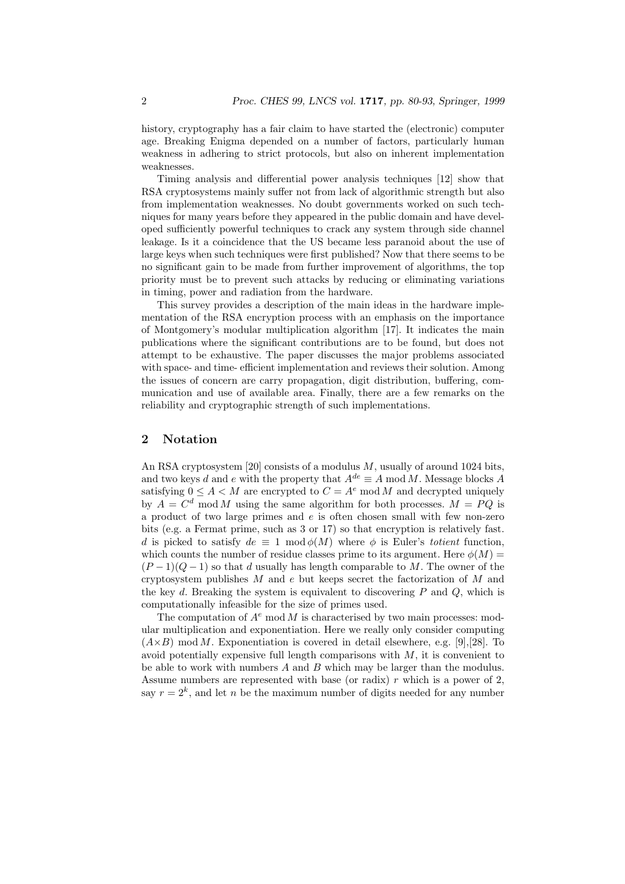history, cryptography has a fair claim to have started the (electronic) computer age. Breaking Enigma depended on a number of factors, particularly human weakness in adhering to strict protocols, but also on inherent implementation weaknesses.

Timing analysis and differential power analysis techniques [12] show that RSA cryptosystems mainly suffer not from lack of algorithmic strength but also from implementation weaknesses. No doubt governments worked on such techniques for many years before they appeared in the public domain and have developed sufficiently powerful techniques to crack any system through side channel leakage. Is it a coincidence that the US became less paranoid about the use of large keys when such techniques were first published? Now that there seems to be no significant gain to be made from further improvement of algorithms, the top priority must be to prevent such attacks by reducing or eliminating variations in timing, power and radiation from the hardware.

This survey provides a description of the main ideas in the hardware implementation of the RSA encryption process with an emphasis on the importance of Montgomery's modular multiplication algorithm [17]. It indicates the main publications where the significant contributions are to be found, but does not attempt to be exhaustive. The paper discusses the major problems associated with space- and time- efficient implementation and reviews their solution. Among the issues of concern are carry propagation, digit distribution, buffering, communication and use of available area. Finally, there are a few remarks on the reliability and cryptographic strength of such implementations.

## 2 Notation

An RSA cryptosystem [20] consists of a modulus  $M$ , usually of around 1024 bits, and two keys d and e with the property that  $A^{de} \equiv A \mod M$ . Message blocks A satisfying  $0 \leq A \leq M$  are encrypted to  $C = A^e \mod M$  and decrypted uniquely by  $A = C^d \mod M$  using the same algorithm for both processes.  $M = PQ$  is a product of two large primes and  $e$  is often chosen small with few non-zero bits (e.g. a Fermat prime, such as 3 or 17) so that encryption is relatively fast. d is picked to satisfy  $de \equiv 1 \mod \phi(M)$  where  $\phi$  is Euler's totient function, which counts the number of residue classes prime to its argument. Here  $\phi(M)$  =  $(P-1)(Q-1)$  so that d usually has length comparable to M. The owner of the cryptosystem publishes  $M$  and  $e$  but keeps secret the factorization of  $M$  and the key d. Breaking the system is equivalent to discovering  $P$  and  $Q$ , which is computationally infeasible for the size of primes used.

The computation of  $A^e$  mod M is characterised by two main processes: modular multiplication and exponentiation. Here we really only consider computing  $(A\times B)$  mod M. Exponentiation is covered in detail elsewhere, e.g. [9], [28]. To avoid potentially expensive full length comparisons with  $M$ , it is convenient to be able to work with numbers  $A$  and  $B$  which may be larger than the modulus. Assume numbers are represented with base (or radix)  $r$  which is a power of 2, say  $r = 2<sup>k</sup>$ , and let n be the maximum number of digits needed for any number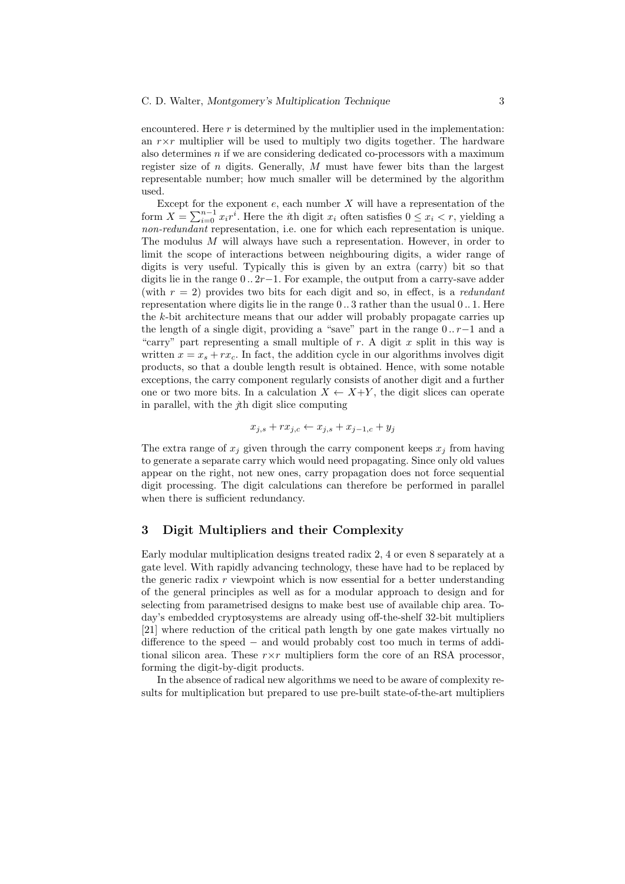encountered. Here  $r$  is determined by the multiplier used in the implementation: an  $r \times r$  multiplier will be used to multiply two digits together. The hardware also determines  $n$  if we are considering dedicated co-processors with a maximum register size of  $n$  digits. Generally,  $M$  must have fewer bits than the largest representable number; how much smaller will be determined by the algorithm used.

Except for the exponent  $e$ , each number  $X$  will have a representation of the form  $X = \sum_{i=0}^{n-1} x_i r^i$ . Here the *i*th digit  $x_i$  often satisfies  $0 \leq x_i < r$ , yielding a non-redundant representation, i.e. one for which each representation is unique. The modulus  $M$  will always have such a representation. However, in order to limit the scope of interactions between neighbouring digits, a wider range of digits is very useful. Typically this is given by an extra (carry) bit so that digits lie in the range  $0 \ldots 2r-1$ . For example, the output from a carry-save adder (with  $r = 2$ ) provides two bits for each digit and so, in effect, is a *redundant* representation where digits lie in the range 0 .. 3 rather than the usual 0 .. 1. Here the k-bit architecture means that our adder will probably propagate carries up the length of a single digit, providing a "save" part in the range  $0 \dots r-1$  and a "carry" part representing a small multiple of  $r$ . A digit  $x$  split in this way is written  $x = x_s + rx_c$ . In fact, the addition cycle in our algorithms involves digit products, so that a double length result is obtained. Hence, with some notable exceptions, the carry component regularly consists of another digit and a further one or two more bits. In a calculation  $X \leftarrow X+Y$ , the digit slices can operate in parallel, with the jth digit slice computing

$$
x_{j,s} + rx_{j,c} \leftarrow x_{j,s} + x_{j-1,c} + y_j
$$

The extra range of  $x_j$  given through the carry component keeps  $x_j$  from having to generate a separate carry which would need propagating. Since only old values appear on the right, not new ones, carry propagation does not force sequential digit processing. The digit calculations can therefore be performed in parallel when there is sufficient redundancy.

### 3 Digit Multipliers and their Complexity

Early modular multiplication designs treated radix 2, 4 or even 8 separately at a gate level. With rapidly advancing technology, these have had to be replaced by the generic radix  $r$  viewpoint which is now essential for a better understanding of the general principles as well as for a modular approach to design and for selecting from parametrised designs to make best use of available chip area. Today's embedded cryptosystems are already using off-the-shelf 32-bit multipliers [21] where reduction of the critical path length by one gate makes virtually no difference to the speed − and would probably cost too much in terms of additional silicon area. These  $r \times r$  multipliers form the core of an RSA processor, forming the digit-by-digit products.

In the absence of radical new algorithms we need to be aware of complexity results for multiplication but prepared to use pre-built state-of-the-art multipliers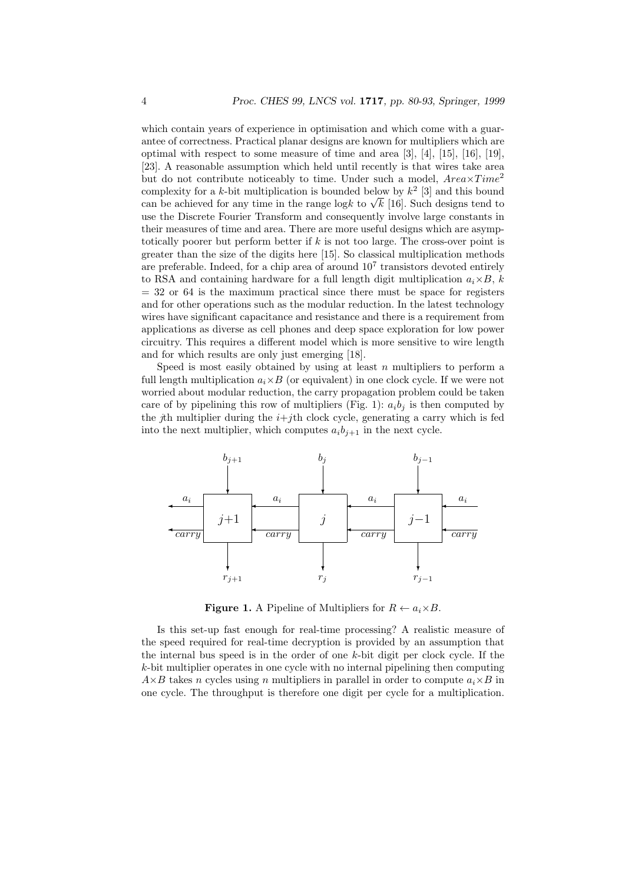which contain years of experience in optimisation and which come with a guarantee of correctness. Practical planar designs are known for multipliers which are optimal with respect to some measure of time and area [3], [4], [15], [16], [19], [23]. A reasonable assumption which held until recently is that wires take area but do not contribute noticeably to time. Under such a model,  $Area \times Time^2$ complexity for a k-bit multiplication is bounded below by  $k^2$  [3] and this bound complexity for a k-bit multiplication is bounded below by  $k^-$  [5] and this bound<br>can be achieved for any time in the range logk to  $\sqrt{k}$  [16]. Such designs tend to use the Discrete Fourier Transform and consequently involve large constants in their measures of time and area. There are more useful designs which are asymptotically poorer but perform better if  $k$  is not too large. The cross-over point is greater than the size of the digits here [15]. So classical multiplication methods are preferable. Indeed, for a chip area of around  $10<sup>7</sup>$  transistors devoted entirely to RSA and containing hardware for a full length digit multiplication  $a_i \times B$ , k  $=$  32 or 64 is the maximum practical since there must be space for registers and for other operations such as the modular reduction. In the latest technology wires have significant capacitance and resistance and there is a requirement from applications as diverse as cell phones and deep space exploration for low power circuitry. This requires a different model which is more sensitive to wire length and for which results are only just emerging [18].

Speed is most easily obtained by using at least  $n$  multipliers to perform a full length multiplication  $a_i \times B$  (or equivalent) in one clock cycle. If we were not worried about modular reduction, the carry propagation problem could be taken care of by pipelining this row of multipliers (Fig. 1):  $a_i b_j$  is then computed by the jth multiplier during the  $i+j$ th clock cycle, generating a carry which is fed into the next multiplier, which computes  $a_i b_{j+1}$  in the next cycle.



**Figure 1.** A Pipeline of Multipliers for  $R \leftarrow a_i \times B$ .

Is this set-up fast enough for real-time processing? A realistic measure of the speed required for real-time decryption is provided by an assumption that the internal bus speed is in the order of one  $k$ -bit digit per clock cycle. If the  $k$ -bit multiplier operates in one cycle with no internal pipelining then computing  $A\times B$  takes n cycles using n multipliers in parallel in order to compute  $a_i\times B$  in one cycle. The throughput is therefore one digit per cycle for a multiplication.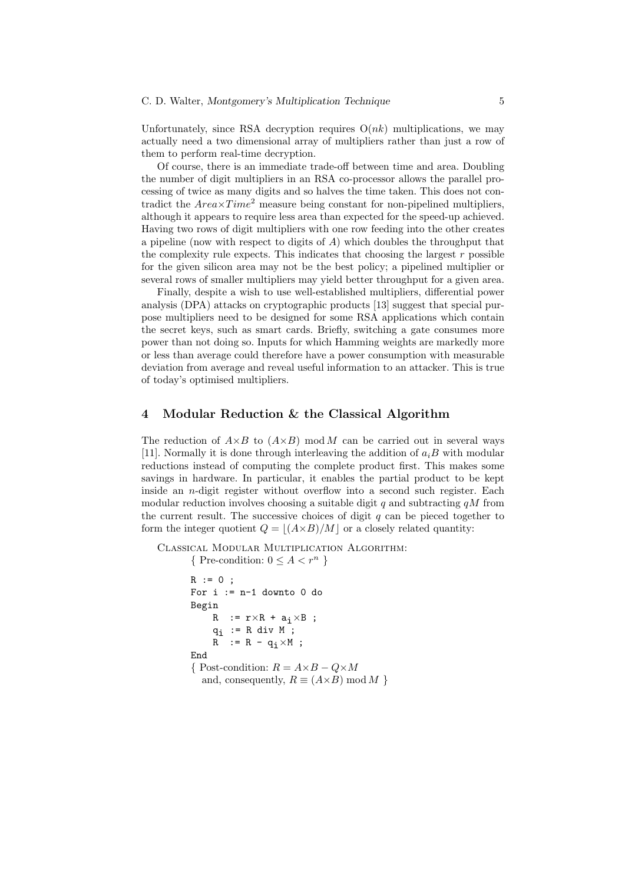Unfortunately, since RSA decryption requires  $O(nk)$  multiplications, we may actually need a two dimensional array of multipliers rather than just a row of them to perform real-time decryption.

Of course, there is an immediate trade-off between time and area. Doubling the number of digit multipliers in an RSA co-processor allows the parallel processing of twice as many digits and so halves the time taken. This does not contradict the  $Area \times Time^2$  measure being constant for non-pipelined multipliers, although it appears to require less area than expected for the speed-up achieved. Having two rows of digit multipliers with one row feeding into the other creates a pipeline (now with respect to digits of  $A$ ) which doubles the throughput that the complexity rule expects. This indicates that choosing the largest  $r$  possible for the given silicon area may not be the best policy; a pipelined multiplier or several rows of smaller multipliers may yield better throughput for a given area.

Finally, despite a wish to use well-established multipliers, differential power analysis (DPA) attacks on cryptographic products [13] suggest that special purpose multipliers need to be designed for some RSA applications which contain the secret keys, such as smart cards. Briefly, switching a gate consumes more power than not doing so. Inputs for which Hamming weights are markedly more or less than average could therefore have a power consumption with measurable deviation from average and reveal useful information to an attacker. This is true of today's optimised multipliers.

### 4 Modular Reduction & the Classical Algorithm

The reduction of  $A\times B$  to  $(A\times B)$  mod M can be carried out in several ways [11]. Normally it is done through interleaving the addition of  $a_iB$  with modular reductions instead of computing the complete product first. This makes some savings in hardware. In particular, it enables the partial product to be kept inside an n-digit register without overflow into a second such register. Each modular reduction involves choosing a suitable digit q and subtracting  $qM$  from the current result. The successive choices of digit  $q$  can be pieced together to form the integer quotient  $Q = |(A\times B)/M|$  or a closely related quantity:

Classical Modular Multiplication Algorithm:

```
{ Pre-condition: 0 \leq A \leq r^n }
R := 0;For i := n-1 downto 0 do
Begin
     R := r \times R + a_i \times B ;
     q_i := R div M ;
     R := R - q_i \times M;
End
{ Post-condition: R = A \times B - Q \times Mand, consequently, R \equiv (A \times B) \mod M
```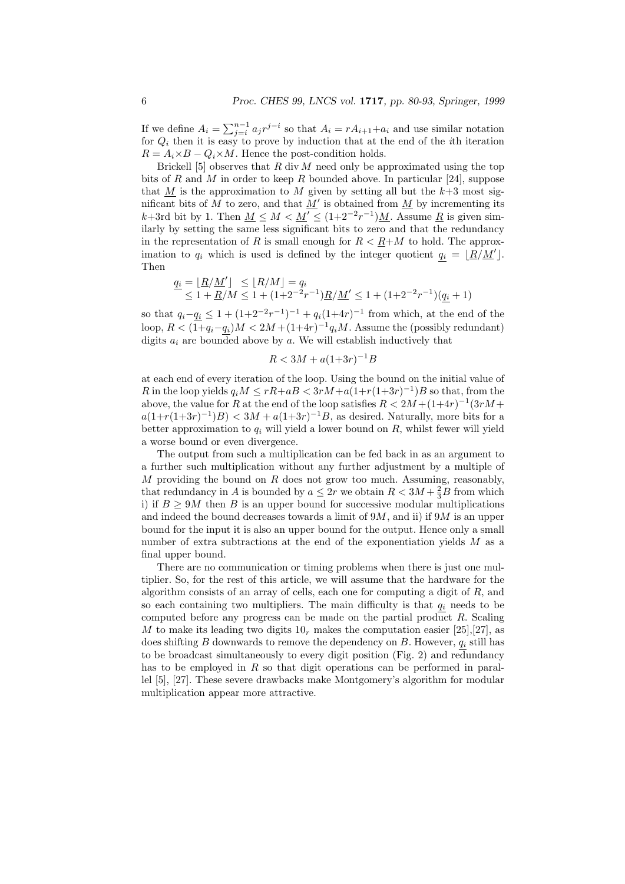If we define  $A_i = \sum_{j=i}^{n-1} a_j r^{j-i}$  so that  $A_i = rA_{i+1} + a_i$  and use similar notation for  $Q_i$  then it is easy to prove by induction that at the end of the ith iteration  $R = A_i \times B - Q_i \times M$ . Hence the post-condition holds.

Brickell [5] observes that  $R$  div  $M$  need only be approximated using the top bits of R and M in order to keep R bounded above. In particular [24], suppose that M is the approximation to M given by setting all but the  $k+3$  most significant bits of M to zero, and that  $M'$  is obtained from M by incrementing its k+3rd bit by 1. Then  $M \leq M < M' \leq (1+2^{-2}r^{-1})M$ . Assume  $\underline{R}$  is given similarly by setting the same less significant bits to zero and that the redundancy in the representation of R is small enough for  $R < R+M$  to hold. The approximation to  $q_i$  which is used is defined by the integer quotient  $q_i = \lfloor R/M' \rfloor$ . Then

$$
\frac{q_i = \lfloor \underline{R}/\underline{M}' \rfloor \leq \lfloor R/M \rfloor = q_i}{\leq 1 + \underline{R}/M} \leq 1 + (1+2^{-2}r^{-1})\underline{R}/\underline{M}' \leq 1 + (1+2^{-2}r^{-1})(\underline{q_i}+1)
$$

so that  $q_i - q_i \leq 1 + (1 + 2^{-2}r^{-1})^{-1} + q_i(1+4r)^{-1}$  from which, at the end of the loop,  $R < (1+q_i-q_i)M < 2M + (1+4r)^{-1}q_iM$ . Assume the (possibly redundant) digits  $a_i$  are bounded above by a. We will establish inductively that

$$
R < 3M + a(1+3r)^{-1}B
$$

at each end of every iteration of the loop. Using the bound on the initial value of R in the loop yields  $q_iM \le rR + aB < 3rM + a(1+r(1+3r)^{-1})B$  so that, from the above, the value for R at the end of the loop satisfies  $R < 2M + (1+4r)^{-1}(3rM +$  $a(1+r(1+3r)^{-1})B < 3M + a(1+3r)^{-1}B$ , as desired. Naturally, more bits for a better approximation to  $q_i$  will yield a lower bound on  $R$ , whilst fewer will yield a worse bound or even divergence.

The output from such a multiplication can be fed back in as an argument to a further such multiplication without any further adjustment by a multiple of  $M$  providing the bound on  $R$  does not grow too much. Assuming, reasonably, that redundancy in A is bounded by  $a \leq 2r$  we obtain  $R < 3M + \frac{2}{3}B$  from which i) if  $B \geq 9M$  then B is an upper bound for successive modular multiplications and indeed the bound decreases towards a limit of  $9M$ , and ii) if  $9M$  is an upper bound for the input it is also an upper bound for the output. Hence only a small number of extra subtractions at the end of the exponentiation yields  $M$  as a final upper bound.

There are no communication or timing problems when there is just one multiplier. So, for the rest of this article, we will assume that the hardware for the algorithm consists of an array of cells, each one for computing a digit of  $R$ , and so each containing two multipliers. The main difficulty is that  $q_i$  needs to be computed before any progress can be made on the partial product  $R$ . Scaling M to make its leading two digits  $10<sub>r</sub>$  makes the computation easier [25],[27], as does shifting  $B$  downwards to remove the dependency on  $B$ . However,  $q_i$  still has to be broadcast simultaneously to every digit position (Fig. 2) and redundancy has to be employed in  $R$  so that digit operations can be performed in parallel [5], [27]. These severe drawbacks make Montgomery's algorithm for modular multiplication appear more attractive.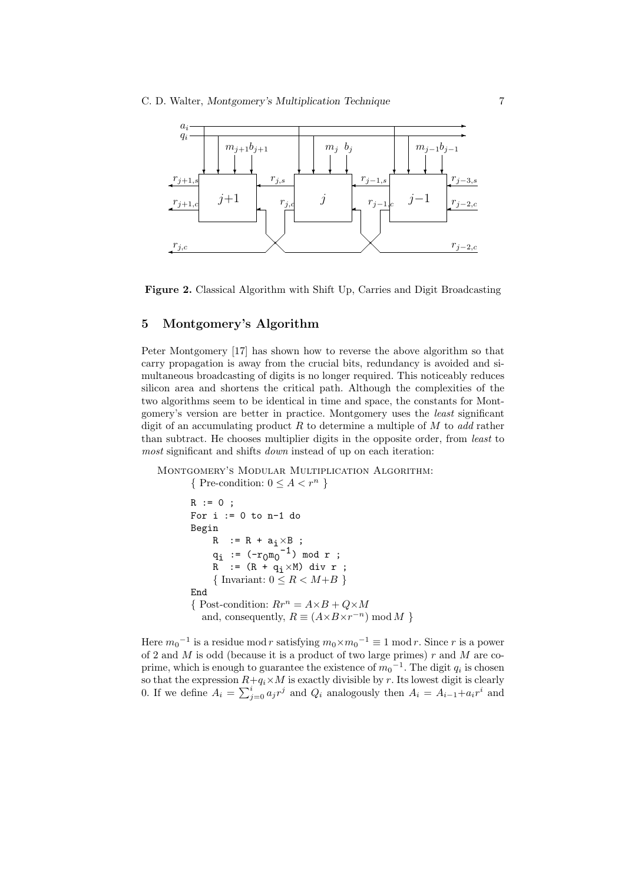



### 5 Montgomery's Algorithm

Peter Montgomery [17] has shown how to reverse the above algorithm so that carry propagation is away from the crucial bits, redundancy is avoided and simultaneous broadcasting of digits is no longer required. This noticeably reduces silicon area and shortens the critical path. Although the complexities of the two algorithms seem to be identical in time and space, the constants for Montgomery's version are better in practice. Montgomery uses the least significant digit of an accumulating product  $R$  to determine a multiple of  $M$  to add rather than subtract. He chooses multiplier digits in the opposite order, from least to most significant and shifts *down* instead of up on each iteration:

Montgomery's Modular Multiplication Algorithm:

```
{ Pre-condition: 0 \leq A < r^n}
R := 0;For i := 0 to n-1 do
Begin
     R := R + a_i \times B ;
     q_i := (-r_0 \overline{m_0}^{-1}) \mod r;R := (R + q_i \times M) div r ;
     { Invariant: 0 \leq R < M + B}
End
{ Post-condition: Rr^n = A \times B + Q \times Mand, consequently, R \equiv (A \times B \times r^{-n}) \mod M
```
Here  $m_0^{-1}$  is a residue mod r satisfying  $m_0 \times m_0^{-1} \equiv 1 \mod r$ . Since r is a power of 2 and  $M$  is odd (because it is a product of two large primes)  $r$  and  $M$  are coprime, which is enough to guarantee the existence of  $m_0^{-1}$ . The digit  $q_i$  is chosen so that the expression  $R+q_i\times M$  is exactly divisible by r. Its lowest digit is clearly 0. If we define  $A_i = \sum_{j=0}^i a_j r^j$  and  $Q_i$  analogously then  $A_i = A_{i-1} + a_i r^i$  and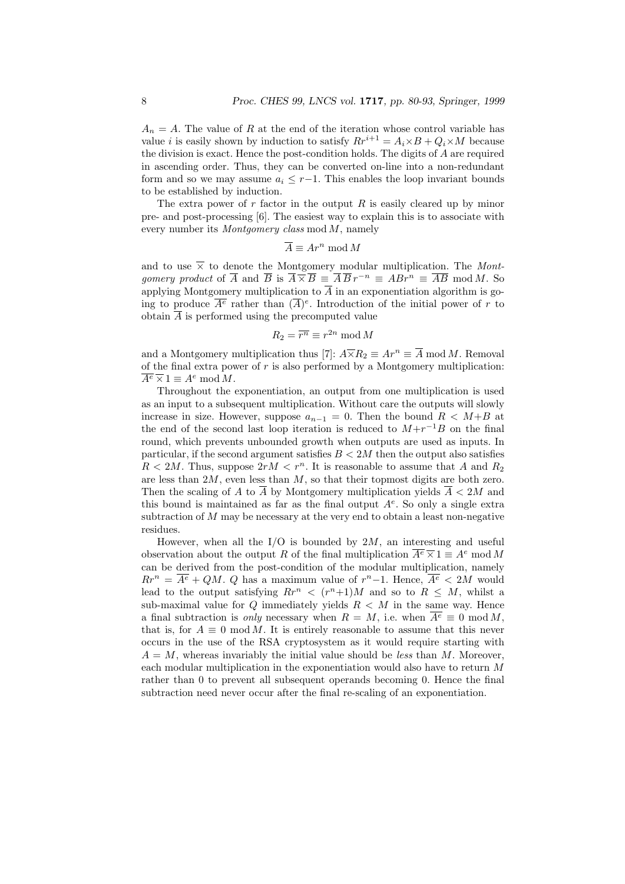$A_n = A$ . The value of R at the end of the iteration whose control variable has value *i* is easily shown by induction to satisfy  $Rr^{i+1} = A_i \times B + Q_i \times M$  because the division is exact. Hence the post-condition holds. The digits of A are required in ascending order. Thus, they can be converted on-line into a non-redundant form and so we may assume  $a_i \leq r-1$ . This enables the loop invariant bounds to be established by induction.

The extra power of  $r$  factor in the output  $R$  is easily cleared up by minor pre- and post-processing [6]. The easiest way to explain this is to associate with every number its  $Montgomery$  class mod  $M$ , namely

$$
\overline{A} \equiv Ar^n \bmod M
$$

and to use  $\overline{\times}$  to denote the Montgomery modular multiplication. The Mont*gomery product* of  $\overline{A}$  and  $\overline{B}$  is  $\overline{A} \times \overline{B} \equiv \overline{A} \overline{B} r^{-n} \equiv AB r^n \equiv \overline{AB} \mod M$ . So applying Montgomery multiplication to  $\overline{A}$  in an exponentiation algorithm is going to produce  $\overline{A^e}$  rather than  $(\overline{A})^e$ . Introduction of the initial power of r to obtain  $\overline{A}$  is performed using the precomputed value

$$
R_2 = \overline{r^n} \equiv r^{2n} \bmod M
$$

and a Montgomery multiplication thus [7]:  $A\times R_2 \equiv Ar^n \equiv \overline{A} \bmod M$ . Removal of the final extra power of  $r$  is also performed by a Montgomery multiplication:  $\overline{A^e} \overline{\times} 1 \equiv A^e \bmod M.$ 

Throughout the exponentiation, an output from one multiplication is used as an input to a subsequent multiplication. Without care the outputs will slowly increase in size. However, suppose  $a_{n-1} = 0$ . Then the bound  $R < M+B$  at the end of the second last loop iteration is reduced to  $M+r^{-1}B$  on the final round, which prevents unbounded growth when outputs are used as inputs. In particular, if the second argument satisfies  $B < 2M$  then the output also satisfies  $R < 2M$ . Thus, suppose  $2rM < r^n$ . It is reasonable to assume that A and  $R_2$ are less than  $2M$ , even less than  $M$ , so that their topmost digits are both zero. Then the scaling of A to  $\overline{A}$  by Montgomery multiplication yields  $\overline{A} < 2M$  and this bound is maintained as far as the final output  $A<sup>e</sup>$ . So only a single extra subtraction of  $M$  may be necessary at the very end to obtain a least non-negative residues.

However, when all the  $I/O$  is bounded by  $2M$ , an interesting and useful observation about the output R of the final multiplication  $\overline{A^e} \times 1 \equiv A^e \mod M$ can be derived from the post-condition of the modular multiplication, namely  $Rr^{n} = \overline{A^{e}} + QM$ . Q has a maximum value of  $r^{n}-1$ . Hence,  $\overline{A^{e}} < 2M$  would lead to the output satisfying  $Rr^n \le (r^n+1)M$  and so to  $R \le M$ , whilst a sub-maximal value for  $Q$  immediately yields  $R < M$  in the same way. Hence a final subtraction is *only* necessary when  $R = M$ , i.e. when  $\overline{A^e} \equiv 0 \mod M$ , that is, for  $A \equiv 0 \mod M$ . It is entirely reasonable to assume that this never occurs in the use of the RSA cryptosystem as it would require starting with  $A = M$ , whereas invariably the initial value should be less than M. Moreover, each modular multiplication in the exponentiation would also have to return M rather than 0 to prevent all subsequent operands becoming 0. Hence the final subtraction need never occur after the final re-scaling of an exponentiation.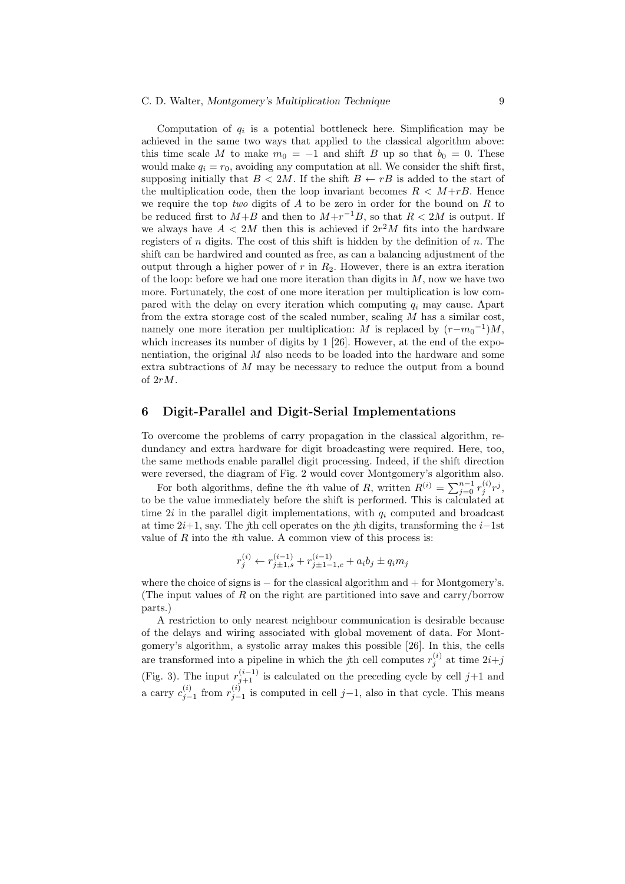#### C. D. Walter, Montgomery's Multiplication Technique 9

Computation of  $q_i$  is a potential bottleneck here. Simplification may be achieved in the same two ways that applied to the classical algorithm above: this time scale M to make  $m_0 = -1$  and shift B up so that  $b_0 = 0$ . These would make  $q_i = r_0$ , avoiding any computation at all. We consider the shift first, supposing initially that  $B < 2M$ . If the shift  $B \leftarrow rB$  is added to the start of the multiplication code, then the loop invariant becomes  $R < M+rB$ . Hence we require the top two digits of  $A$  to be zero in order for the bound on  $R$  to be reduced first to  $M+B$  and then to  $M+r^{-1}B$ , so that  $R<2M$  is output. If we always have  $A < 2M$  then this is achieved if  $2r<sup>2</sup>M$  fits into the hardware registers of  $n$  digits. The cost of this shift is hidden by the definition of  $n$ . The shift can be hardwired and counted as free, as can a balancing adjustment of the output through a higher power of  $r$  in  $R_2$ . However, there is an extra iteration of the loop: before we had one more iteration than digits in  $M$ , now we have two more. Fortunately, the cost of one more iteration per multiplication is low compared with the delay on every iteration which computing  $q_i$  may cause. Apart from the extra storage cost of the scaled number, scaling  $M$  has a similar cost, namely one more iteration per multiplication: M is replaced by  $(r-m_0^{-1})M$ , which increases its number of digits by 1 [26]. However, at the end of the exponentiation, the original  $M$  also needs to be loaded into the hardware and some extra subtractions of M may be necessary to reduce the output from a bound of 2rM.

## 6 Digit-Parallel and Digit-Serial Implementations

To overcome the problems of carry propagation in the classical algorithm, redundancy and extra hardware for digit broadcasting were required. Here, too, the same methods enable parallel digit processing. Indeed, if the shift direction were reversed, the diagram of Fig. 2 would cover Montgomery's algorithm also.

For both algorithms, define the *i*th value of R, written  $R^{(i)} = \sum_{j=0}^{n-1} r_j^{(i)} r^j$ , to be the value immediately before the shift is performed. This is calculated at time  $2i$  in the parallel digit implementations, with  $q_i$  computed and broadcast at time  $2i+1$ , say. The jth cell operates on the jth digits, transforming the  $i-1$ st value of  $R$  into the *th value. A common view of this process is:* 

$$
r_j^{(i)} \leftarrow r_{j\pm 1,s}^{(i-1)} + r_{j\pm 1-1,c}^{(i-1)} + a_i b_j \pm q_i m_j
$$

where the choice of signs is  $-$  for the classical algorithm and  $+$  for Montgomery's. (The input values of  $R$  on the right are partitioned into save and carry/borrow parts.)

A restriction to only nearest neighbour communication is desirable because of the delays and wiring associated with global movement of data. For Montgomery's algorithm, a systolic array makes this possible [26]. In this, the cells are transformed into a pipeline in which the *j*th cell computes  $r_j^{(i)}$  at time  $2i+j$ (Fig. 3). The input  $r_{j+1}^{(i-1)}$  is calculated on the preceding cycle by cell  $j+1$  and a carry  $c_{j-1}^{(i)}$  from  $r_{j-1}^{(i)}$  is computed in cell j-1, also in that cycle. This means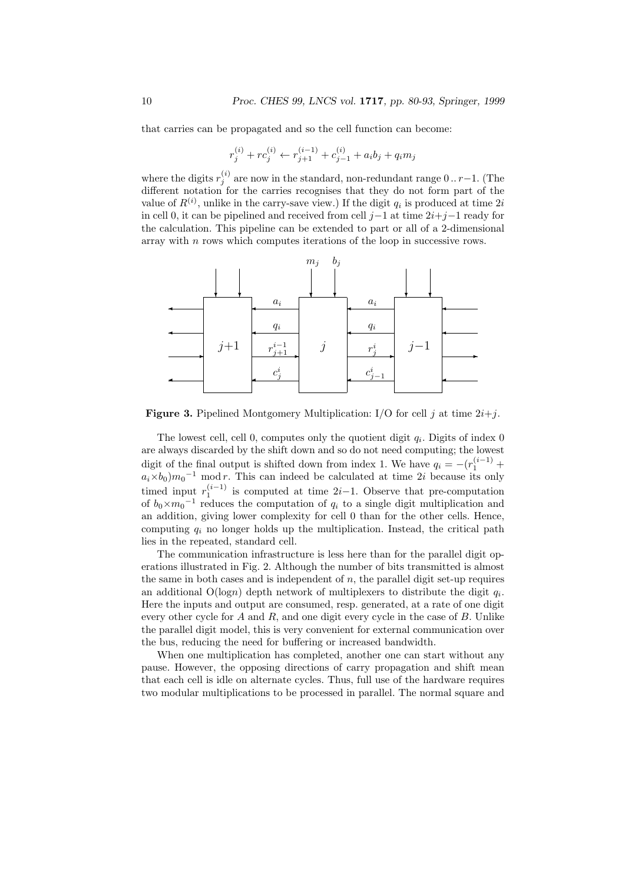that carries can be propagated and so the cell function can become:

$$
r_j^{(i)} + rc_j^{(i)} \leftarrow r_{j+1}^{(i-1)} + c_{j-1}^{(i)} + a_i b_j + q_i m_j
$$

where the digits  $r_j^{(i)}$  are now in the standard, non-redundant range 0 .. r-1. (The different notation for the carries recognises that they do not form part of the value of  $R^{(i)}$ , unlike in the carry-save view.) If the digit  $q_i$  is produced at time  $2i$ in cell 0, it can be pipelined and received from cell  $j-1$  at time  $2i+j-1$  ready for the calculation. This pipeline can be extended to part or all of a 2-dimensional array with  $n$  rows which computes iterations of the loop in successive rows.



**Figure 3.** Pipelined Montgomery Multiplication: I/O for cell j at time  $2i+j$ .

The lowest cell, cell 0, computes only the quotient digit  $q_i$ . Digits of index 0 are always discarded by the shift down and so do not need computing; the lowest digit of the final output is shifted down from index 1. We have  $q_i = -(r_1^{(i-1)} +$  $a_i \times b_0$ ) $m_0$ <sup>-1</sup> mod r. This can indeed be calculated at time 2i because its only timed input  $r_1^{(i-1)}$  is computed at time 2*i*-1. Observe that pre-computation of  $b_0 \times m_0$ <sup>-1</sup> reduces the computation of  $q_i$  to a single digit multiplication and an addition, giving lower complexity for cell 0 than for the other cells. Hence, computing  $q_i$  no longer holds up the multiplication. Instead, the critical path lies in the repeated, standard cell.

The communication infrastructure is less here than for the parallel digit operations illustrated in Fig. 2. Although the number of bits transmitted is almost the same in both cases and is independent of  $n$ , the parallel digit set-up requires an additional  $O(logn)$  depth network of multiplexers to distribute the digit  $q_i$ . Here the inputs and output are consumed, resp. generated, at a rate of one digit every other cycle for  $A$  and  $R$ , and one digit every cycle in the case of  $B$ . Unlike the parallel digit model, this is very convenient for external communication over the bus, reducing the need for buffering or increased bandwidth.

When one multiplication has completed, another one can start without any pause. However, the opposing directions of carry propagation and shift mean that each cell is idle on alternate cycles. Thus, full use of the hardware requires two modular multiplications to be processed in parallel. The normal square and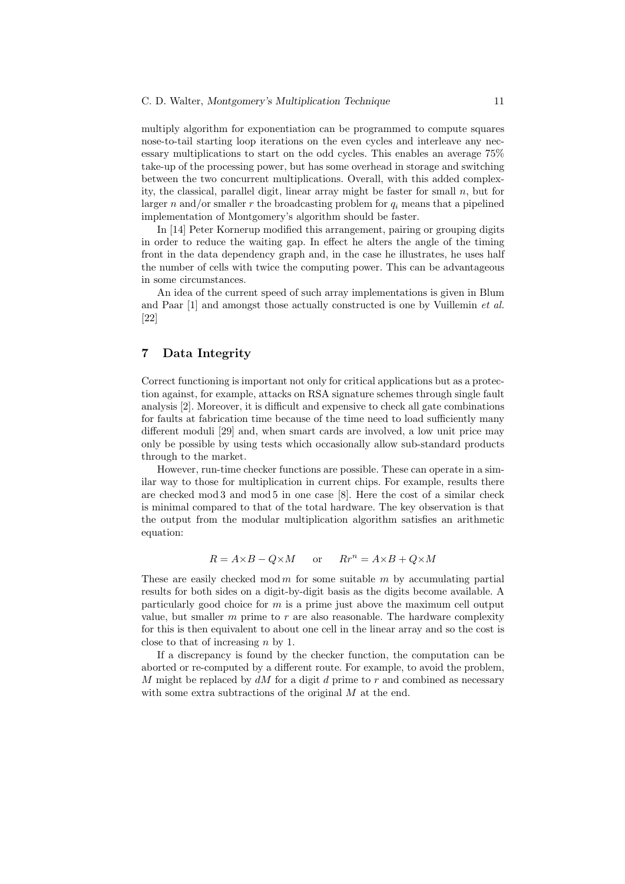#### C. D. Walter, Montgomery's Multiplication Technique 11

multiply algorithm for exponentiation can be programmed to compute squares nose-to-tail starting loop iterations on the even cycles and interleave any necessary multiplications to start on the odd cycles. This enables an average 75% take-up of the processing power, but has some overhead in storage and switching between the two concurrent multiplications. Overall, with this added complexity, the classical, parallel digit, linear array might be faster for small  $n$ , but for larger n and/or smaller r the broadcasting problem for  $q_i$  means that a pipelined implementation of Montgomery's algorithm should be faster.

In [14] Peter Kornerup modified this arrangement, pairing or grouping digits in order to reduce the waiting gap. In effect he alters the angle of the timing front in the data dependency graph and, in the case he illustrates, he uses half the number of cells with twice the computing power. This can be advantageous in some circumstances.

An idea of the current speed of such array implementations is given in Blum and Paar [1] and amongst those actually constructed is one by Vuillemin *et al.* [22]

# 7 Data Integrity

Correct functioning is important not only for critical applications but as a protection against, for example, attacks on RSA signature schemes through single fault analysis [2]. Moreover, it is difficult and expensive to check all gate combinations for faults at fabrication time because of the time need to load sufficiently many different moduli [29] and, when smart cards are involved, a low unit price may only be possible by using tests which occasionally allow sub-standard products through to the market.

However, run-time checker functions are possible. These can operate in a similar way to those for multiplication in current chips. For example, results there are checked mod 3 and mod 5 in one case [8]. Here the cost of a similar check is minimal compared to that of the total hardware. The key observation is that the output from the modular multiplication algorithm satisfies an arithmetic equation:

$$
R = A \times B - Q \times M \qquad \text{or} \qquad R r^n = A \times B + Q \times M
$$

These are easily checked mod  $m$  for some suitable  $m$  by accumulating partial results for both sides on a digit-by-digit basis as the digits become available. A particularly good choice for  $m$  is a prime just above the maximum cell output value, but smaller  $m$  prime to  $r$  are also reasonable. The hardware complexity for this is then equivalent to about one cell in the linear array and so the cost is close to that of increasing  $n$  by 1.

If a discrepancy is found by the checker function, the computation can be aborted or re-computed by a different route. For example, to avoid the problem, M might be replaced by  $dM$  for a digit d prime to r and combined as necessary with some extra subtractions of the original M at the end.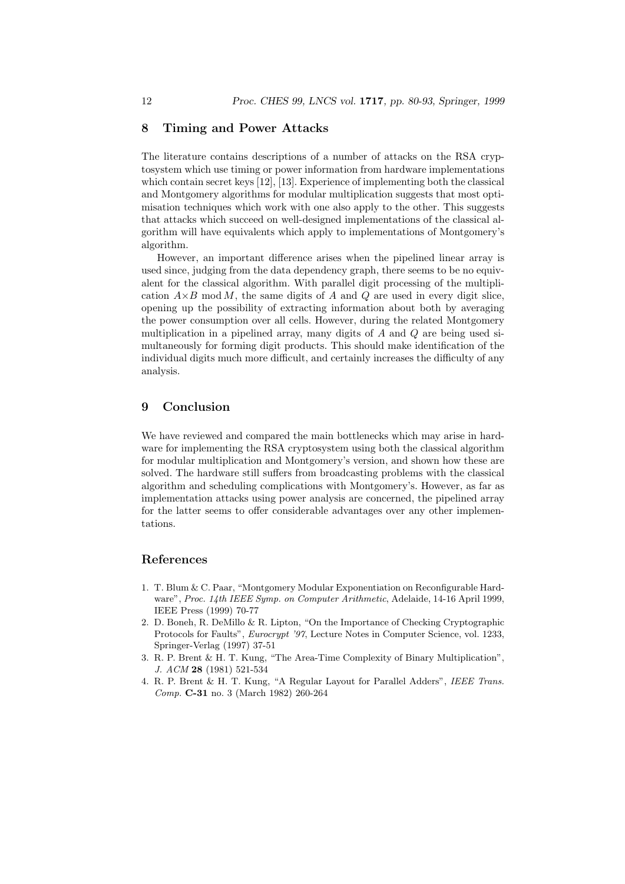# 8 Timing and Power Attacks

The literature contains descriptions of a number of attacks on the RSA cryptosystem which use timing or power information from hardware implementations which contain secret keys [12], [13]. Experience of implementing both the classical and Montgomery algorithms for modular multiplication suggests that most optimisation techniques which work with one also apply to the other. This suggests that attacks which succeed on well-designed implementations of the classical algorithm will have equivalents which apply to implementations of Montgomery's algorithm.

However, an important difference arises when the pipelined linear array is used since, judging from the data dependency graph, there seems to be no equivalent for the classical algorithm. With parallel digit processing of the multiplication  $A\times B$  mod M, the same digits of A and Q are used in every digit slice, opening up the possibility of extracting information about both by averaging the power consumption over all cells. However, during the related Montgomery multiplication in a pipelined array, many digits of  $A$  and  $Q$  are being used simultaneously for forming digit products. This should make identification of the individual digits much more difficult, and certainly increases the difficulty of any analysis.

# 9 Conclusion

We have reviewed and compared the main bottlenecks which may arise in hardware for implementing the RSA cryptosystem using both the classical algorithm for modular multiplication and Montgomery's version, and shown how these are solved. The hardware still suffers from broadcasting problems with the classical algorithm and scheduling complications with Montgomery's. However, as far as implementation attacks using power analysis are concerned, the pipelined array for the latter seems to offer considerable advantages over any other implementations.

# References

- 1. T. Blum & C. Paar, "Montgomery Modular Exponentiation on Reconfigurable Hardware", Proc. 14th IEEE Symp. on Computer Arithmetic, Adelaide, 14-16 April 1999, IEEE Press (1999) 70-77
- 2. D. Boneh, R. DeMillo & R. Lipton, "On the Importance of Checking Cryptographic Protocols for Faults", Eurocrypt '97, Lecture Notes in Computer Science, vol. 1233, Springer-Verlag (1997) 37-51
- 3. R. P. Brent & H. T. Kung, "The Area-Time Complexity of Binary Multiplication", J. ACM 28 (1981) 521-534
- 4. R. P. Brent & H. T. Kung, "A Regular Layout for Parallel Adders", IEEE Trans. Comp. C-31 no. 3 (March 1982) 260-264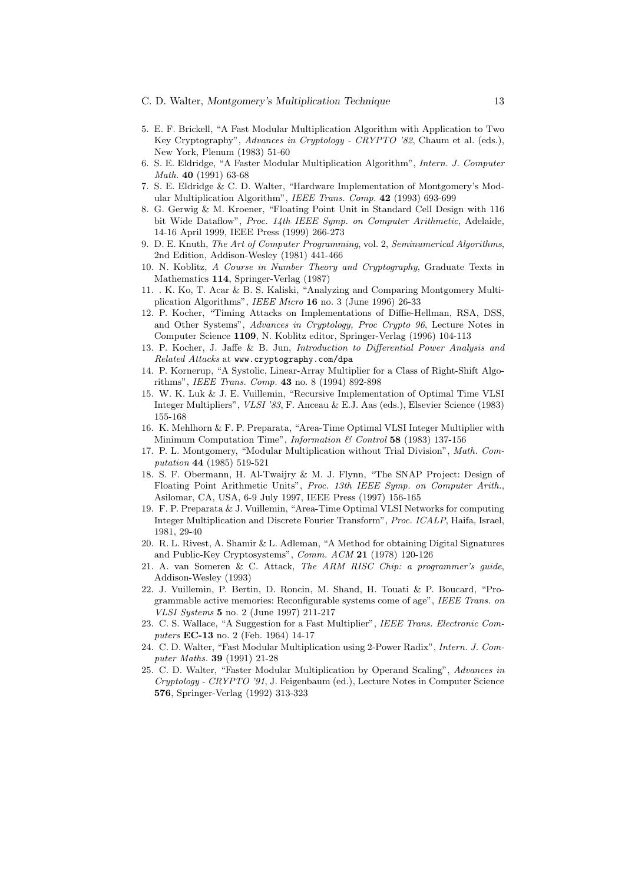#### C. D. Walter, Montgomery's Multiplication Technique 13

- 5. E. F. Brickell, "A Fast Modular Multiplication Algorithm with Application to Two Key Cryptography", Advances in Cryptology - CRYPTO '82, Chaum et al. (eds.), New York, Plenum (1983) 51-60
- 6. S. E. Eldridge, "A Faster Modular Multiplication Algorithm", Intern. J. Computer Math. 40 (1991) 63-68
- 7. S. E. Eldridge & C. D. Walter, "Hardware Implementation of Montgomery's Modular Multiplication Algorithm", IEEE Trans. Comp. 42 (1993) 693-699
- 8. G. Gerwig & M. Kroener, "Floating Point Unit in Standard Cell Design with 116 bit Wide Dataflow", Proc. 14th IEEE Symp. on Computer Arithmetic, Adelaide, 14-16 April 1999, IEEE Press (1999) 266-273
- 9. D. E. Knuth, The Art of Computer Programming, vol. 2, Seminumerical Algorithms, 2nd Edition, Addison-Wesley (1981) 441-466
- 10. N. Koblitz, A Course in Number Theory and Cryptography, Graduate Texts in Mathematics 114, Springer-Verlag (1987)
- 11. . K. Ko, T. Acar & B. S. Kaliski, "Analyzing and Comparing Montgomery Multiplication Algorithms", IEEE Micro 16 no. 3 (June 1996) 26-33
- 12. P. Kocher, "Timing Attacks on Implementations of Diffie-Hellman, RSA, DSS, and Other Systems", Advances in Cryptology, Proc Crypto 96, Lecture Notes in Computer Science 1109, N. Koblitz editor, Springer-Verlag (1996) 104-113
- 13. P. Kocher, J. Jaffe & B. Jun, Introduction to Differential Power Analysis and Related Attacks at www.cryptography.com/dpa
- 14. P. Kornerup, "A Systolic, Linear-Array Multiplier for a Class of Right-Shift Algorithms", IEEE Trans. Comp. 43 no. 8 (1994) 892-898
- 15. W. K. Luk & J. E. Vuillemin, "Recursive Implementation of Optimal Time VLSI Integer Multipliers", VLSI '83, F. Anceau & E.J. Aas (eds.), Elsevier Science (1983) 155-168
- 16. K. Mehlhorn & F. P. Preparata, "Area-Time Optimal VLSI Integer Multiplier with Minimum Computation Time", *Information & Control* 58 (1983) 137-156
- 17. P. L. Montgomery, "Modular Multiplication without Trial Division", Math. Computation 44 (1985) 519-521
- 18. S. F. Obermann, H. Al-Twaijry & M. J. Flynn, "The SNAP Project: Design of Floating Point Arithmetic Units", Proc. 13th IEEE Symp. on Computer Arith., Asilomar, CA, USA, 6-9 July 1997, IEEE Press (1997) 156-165
- 19. F. P. Preparata & J. Vuillemin, "Area-Time Optimal VLSI Networks for computing Integer Multiplication and Discrete Fourier Transform", Proc. ICALP, Haifa, Israel, 1981, 29-40
- 20. R. L. Rivest, A. Shamir & L. Adleman, "A Method for obtaining Digital Signatures and Public-Key Cryptosystems", Comm. ACM 21 (1978) 120-126
- 21. A. van Someren & C. Attack, The ARM RISC Chip: a programmer's guide, Addison-Wesley (1993)
- 22. J. Vuillemin, P. Bertin, D. Roncin, M. Shand, H. Touati & P. Boucard, "Programmable active memories: Reconfigurable systems come of age", IEEE Trans. on VLSI Systems 5 no. 2 (June 1997) 211-217
- 23. C. S. Wallace, "A Suggestion for a Fast Multiplier", IEEE Trans. Electronic Computers EC-13 no. 2 (Feb. 1964) 14-17
- 24. C. D. Walter, "Fast Modular Multiplication using 2-Power Radix", Intern. J. Computer Maths. 39 (1991) 21-28
- 25. C. D. Walter, "Faster Modular Multiplication by Operand Scaling", Advances in Cryptology - CRYPTO '91, J. Feigenbaum (ed.), Lecture Notes in Computer Science 576, Springer-Verlag (1992) 313-323